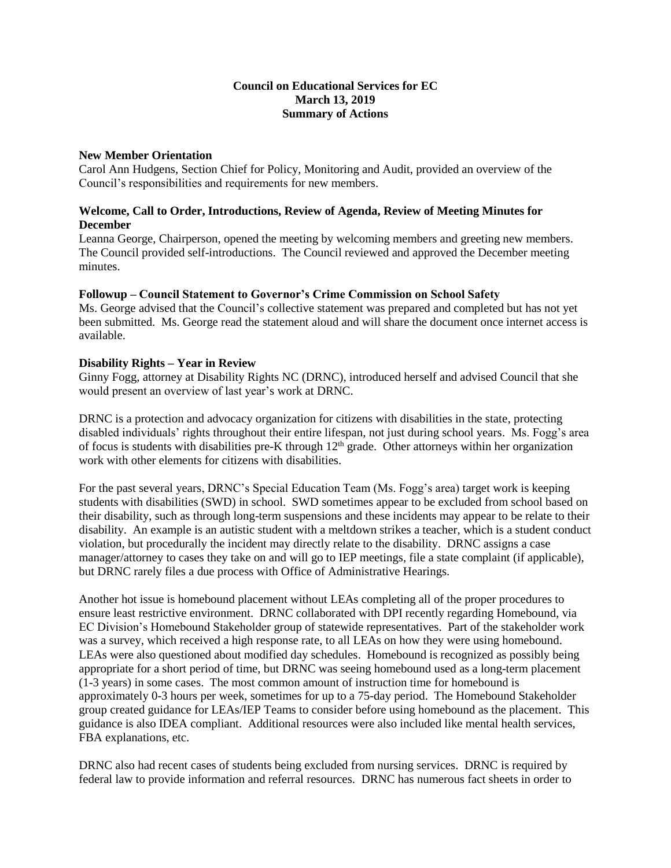## **Council on Educational Services for EC March 13, 2019 Summary of Actions**

#### **New Member Orientation**

Carol Ann Hudgens, Section Chief for Policy, Monitoring and Audit, provided an overview of the Council's responsibilities and requirements for new members.

# **Welcome, Call to Order, Introductions, Review of Agenda, Review of Meeting Minutes for December**

Leanna George, Chairperson, opened the meeting by welcoming members and greeting new members. The Council provided self-introductions. The Council reviewed and approved the December meeting minutes.

## **Followup – Council Statement to Governor's Crime Commission on School Safety**

Ms. George advised that the Council's collective statement was prepared and completed but has not yet been submitted. Ms. George read the statement aloud and will share the document once internet access is available.

#### **Disability Rights – Year in Review**

Ginny Fogg, attorney at Disability Rights NC (DRNC), introduced herself and advised Council that she would present an overview of last year's work at DRNC.

DRNC is a protection and advocacy organization for citizens with disabilities in the state, protecting disabled individuals' rights throughout their entire lifespan, not just during school years. Ms. Fogg's area of focus is students with disabilities pre-K through 12<sup>th</sup> grade. Other attorneys within her organization work with other elements for citizens with disabilities.

For the past several years, DRNC's Special Education Team (Ms. Fogg's area) target work is keeping students with disabilities (SWD) in school. SWD sometimes appear to be excluded from school based on their disability, such as through long-term suspensions and these incidents may appear to be relate to their disability. An example is an autistic student with a meltdown strikes a teacher, which is a student conduct violation, but procedurally the incident may directly relate to the disability. DRNC assigns a case manager/attorney to cases they take on and will go to IEP meetings, file a state complaint (if applicable), but DRNC rarely files a due process with Office of Administrative Hearings.

Another hot issue is homebound placement without LEAs completing all of the proper procedures to ensure least restrictive environment. DRNC collaborated with DPI recently regarding Homebound, via EC Division's Homebound Stakeholder group of statewide representatives. Part of the stakeholder work was a survey, which received a high response rate, to all LEAs on how they were using homebound. LEAs were also questioned about modified day schedules. Homebound is recognized as possibly being appropriate for a short period of time, but DRNC was seeing homebound used as a long-term placement (1-3 years) in some cases. The most common amount of instruction time for homebound is approximately 0-3 hours per week, sometimes for up to a 75-day period. The Homebound Stakeholder group created guidance for LEAs/IEP Teams to consider before using homebound as the placement. This guidance is also IDEA compliant. Additional resources were also included like mental health services, FBA explanations, etc.

DRNC also had recent cases of students being excluded from nursing services. DRNC is required by federal law to provide information and referral resources. DRNC has numerous fact sheets in order to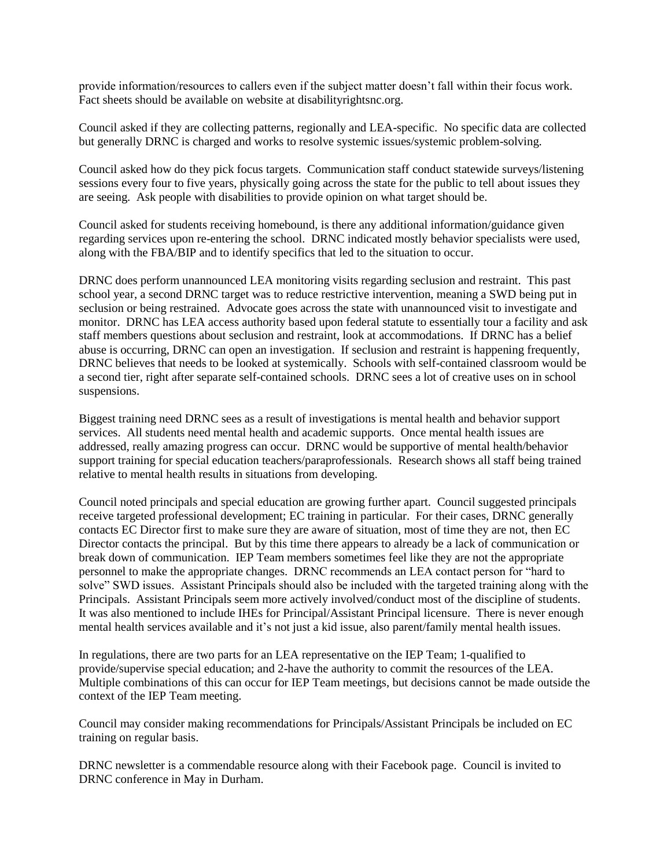provide information/resources to callers even if the subject matter doesn't fall within their focus work. Fact sheets should be available on website at disabilityrightsnc.org.

Council asked if they are collecting patterns, regionally and LEA-specific. No specific data are collected but generally DRNC is charged and works to resolve systemic issues/systemic problem-solving.

Council asked how do they pick focus targets. Communication staff conduct statewide surveys/listening sessions every four to five years, physically going across the state for the public to tell about issues they are seeing. Ask people with disabilities to provide opinion on what target should be.

Council asked for students receiving homebound, is there any additional information/guidance given regarding services upon re-entering the school. DRNC indicated mostly behavior specialists were used, along with the FBA/BIP and to identify specifics that led to the situation to occur.

DRNC does perform unannounced LEA monitoring visits regarding seclusion and restraint. This past school year, a second DRNC target was to reduce restrictive intervention, meaning a SWD being put in seclusion or being restrained. Advocate goes across the state with unannounced visit to investigate and monitor. DRNC has LEA access authority based upon federal statute to essentially tour a facility and ask staff members questions about seclusion and restraint, look at accommodations. If DRNC has a belief abuse is occurring, DRNC can open an investigation. If seclusion and restraint is happening frequently, DRNC believes that needs to be looked at systemically. Schools with self-contained classroom would be a second tier, right after separate self-contained schools. DRNC sees a lot of creative uses on in school suspensions.

Biggest training need DRNC sees as a result of investigations is mental health and behavior support services. All students need mental health and academic supports. Once mental health issues are addressed, really amazing progress can occur. DRNC would be supportive of mental health/behavior support training for special education teachers/paraprofessionals. Research shows all staff being trained relative to mental health results in situations from developing.

Council noted principals and special education are growing further apart. Council suggested principals receive targeted professional development; EC training in particular. For their cases, DRNC generally contacts EC Director first to make sure they are aware of situation, most of time they are not, then EC Director contacts the principal. But by this time there appears to already be a lack of communication or break down of communication. IEP Team members sometimes feel like they are not the appropriate personnel to make the appropriate changes. DRNC recommends an LEA contact person for "hard to solve" SWD issues. Assistant Principals should also be included with the targeted training along with the Principals. Assistant Principals seem more actively involved/conduct most of the discipline of students. It was also mentioned to include IHEs for Principal/Assistant Principal licensure. There is never enough mental health services available and it's not just a kid issue, also parent/family mental health issues.

In regulations, there are two parts for an LEA representative on the IEP Team; 1-qualified to provide/supervise special education; and 2-have the authority to commit the resources of the LEA. Multiple combinations of this can occur for IEP Team meetings, but decisions cannot be made outside the context of the IEP Team meeting.

Council may consider making recommendations for Principals/Assistant Principals be included on EC training on regular basis.

DRNC newsletter is a commendable resource along with their Facebook page. Council is invited to DRNC conference in May in Durham.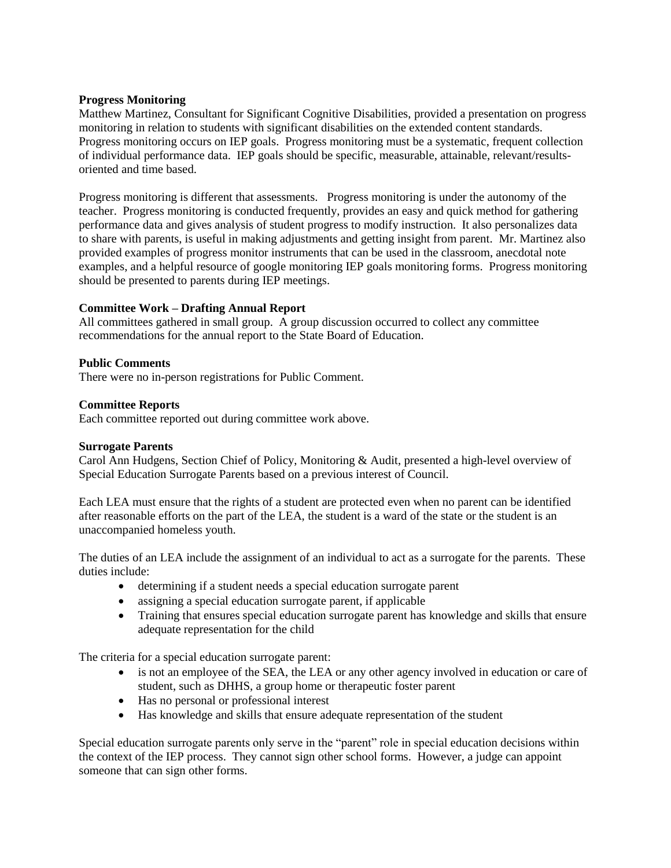## **Progress Monitoring**

Matthew Martinez, Consultant for Significant Cognitive Disabilities, provided a presentation on progress monitoring in relation to students with significant disabilities on the extended content standards. Progress monitoring occurs on IEP goals. Progress monitoring must be a systematic, frequent collection of individual performance data. IEP goals should be specific, measurable, attainable, relevant/resultsoriented and time based.

Progress monitoring is different that assessments. Progress monitoring is under the autonomy of the teacher. Progress monitoring is conducted frequently, provides an easy and quick method for gathering performance data and gives analysis of student progress to modify instruction. It also personalizes data to share with parents, is useful in making adjustments and getting insight from parent. Mr. Martinez also provided examples of progress monitor instruments that can be used in the classroom, anecdotal note examples, and a helpful resource of google monitoring IEP goals monitoring forms. Progress monitoring should be presented to parents during IEP meetings.

## **Committee Work – Drafting Annual Report**

All committees gathered in small group. A group discussion occurred to collect any committee recommendations for the annual report to the State Board of Education.

## **Public Comments**

There were no in-person registrations for Public Comment.

#### **Committee Reports**

Each committee reported out during committee work above.

## **Surrogate Parents**

Carol Ann Hudgens, Section Chief of Policy, Monitoring & Audit, presented a high-level overview of Special Education Surrogate Parents based on a previous interest of Council.

Each LEA must ensure that the rights of a student are protected even when no parent can be identified after reasonable efforts on the part of the LEA, the student is a ward of the state or the student is an unaccompanied homeless youth.

The duties of an LEA include the assignment of an individual to act as a surrogate for the parents. These duties include:

- determining if a student needs a special education surrogate parent
- assigning a special education surrogate parent, if applicable
- Training that ensures special education surrogate parent has knowledge and skills that ensure adequate representation for the child

The criteria for a special education surrogate parent:

- is not an employee of the SEA, the LEA or any other agency involved in education or care of student, such as DHHS, a group home or therapeutic foster parent
- Has no personal or professional interest
- Has knowledge and skills that ensure adequate representation of the student

Special education surrogate parents only serve in the "parent" role in special education decisions within the context of the IEP process. They cannot sign other school forms. However, a judge can appoint someone that can sign other forms.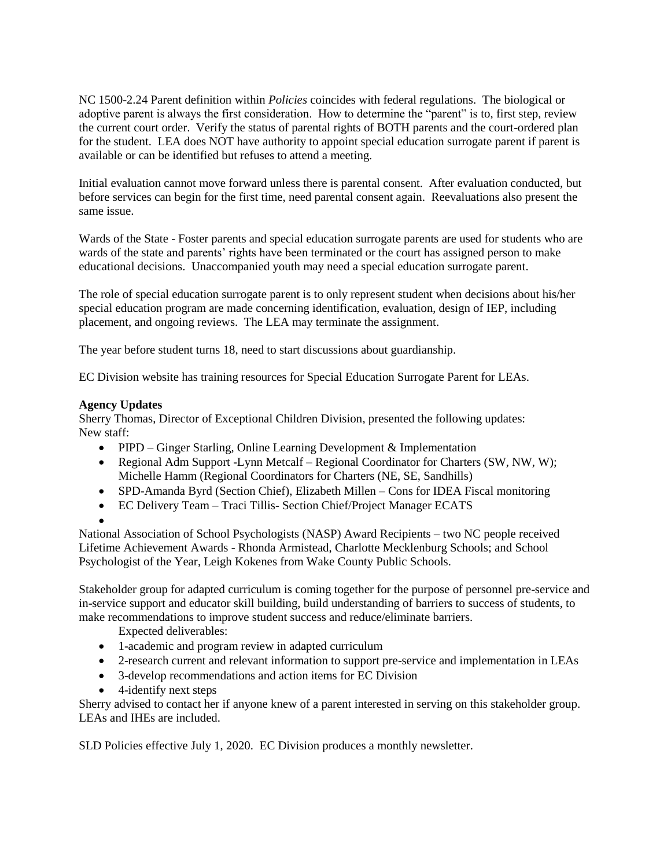NC 1500-2.24 Parent definition within *Policies* coincides with federal regulations. The biological or adoptive parent is always the first consideration. How to determine the "parent" is to, first step, review the current court order. Verify the status of parental rights of BOTH parents and the court-ordered plan for the student. LEA does NOT have authority to appoint special education surrogate parent if parent is available or can be identified but refuses to attend a meeting.

Initial evaluation cannot move forward unless there is parental consent. After evaluation conducted, but before services can begin for the first time, need parental consent again. Reevaluations also present the same issue.

Wards of the State - Foster parents and special education surrogate parents are used for students who are wards of the state and parents' rights have been terminated or the court has assigned person to make educational decisions. Unaccompanied youth may need a special education surrogate parent.

The role of special education surrogate parent is to only represent student when decisions about his/her special education program are made concerning identification, evaluation, design of IEP, including placement, and ongoing reviews. The LEA may terminate the assignment.

The year before student turns 18, need to start discussions about guardianship.

EC Division website has training resources for Special Education Surrogate Parent for LEAs.

## **Agency Updates**

Sherry Thomas, Director of Exceptional Children Division, presented the following updates: New staff:

- PIPD Ginger Starling, Online Learning Development & Implementation
- Regional Adm Support -Lynn Metcalf Regional Coordinator for Charters (SW, NW, W); Michelle Hamm (Regional Coordinators for Charters (NE, SE, Sandhills)
- SPD-Amanda Byrd (Section Chief), Elizabeth Millen Cons for IDEA Fiscal monitoring
- EC Delivery Team Traci Tillis- Section Chief/Project Manager ECATS
- •

National Association of School Psychologists (NASP) Award Recipients – two NC people received Lifetime Achievement Awards - Rhonda Armistead, Charlotte Mecklenburg Schools; and School Psychologist of the Year, Leigh Kokenes from Wake County Public Schools.

Stakeholder group for adapted curriculum is coming together for the purpose of personnel pre-service and in-service support and educator skill building, build understanding of barriers to success of students, to make recommendations to improve student success and reduce/eliminate barriers.

Expected deliverables:

- 1-academic and program review in adapted curriculum
- 2-research current and relevant information to support pre-service and implementation in LEAs
- 3-develop recommendations and action items for EC Division
- 4-identify next steps

Sherry advised to contact her if anyone knew of a parent interested in serving on this stakeholder group. LEAs and IHEs are included.

SLD Policies effective July 1, 2020. EC Division produces a monthly newsletter.